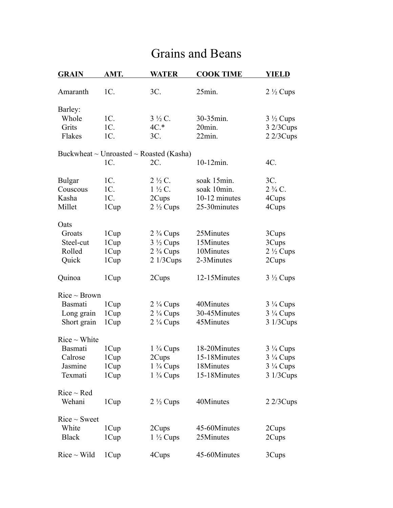## Grains and Beans

| <b>GRAIN</b>      | AMT.   | <b>WATER</b>                            | <b>COOK TIME</b> | <b>YIELD</b>        |
|-------------------|--------|-----------------------------------------|------------------|---------------------|
| Amaranth          | $1C$ . | 3C.                                     | 25min.           | $2\frac{1}{2}$ Cups |
| Barley:           |        |                                         |                  |                     |
| Whole             | $1C$ . | $3\frac{1}{2}C$ .                       | 30-35min.        | $3\frac{1}{2}$ Cups |
| Grits             | 1C.    | $4C.*$                                  | 20min.           | 32/3Cups            |
| Flakes            | $1C$ . | $3C$ .                                  | 22min.           | $2\frac{2}{3}Cups$  |
|                   |        | Buckwheat ~ Unroasted ~ Roasted (Kasha) |                  |                     |
|                   | 1C.    | 2C.                                     | 10-12min.        | $4C$ .              |
| <b>Bulgar</b>     | $1C$ . | $2\frac{1}{2}C$ .                       | soak 15min.      | $3C$ .              |
| Couscous          | 1C.    | $1\frac{1}{2}C$ .                       | soak 10min.      | $2\frac{3}{4}C$ .   |
| Kasha             | $1C$ . | 2Cups                                   | 10-12 minutes    | 4Cups               |
| Millet            | 1Cup   | $2\frac{1}{2}$ Cups                     | 25-30minutes     | 4Cups               |
| Oats              |        |                                         |                  |                     |
| Groats            | 1Cup   | $2\frac{3}{4}$ Cups                     | 25Minutes        | 3Cups               |
| Steel-cut         | 1Cup   | $3\frac{1}{2}$ Cups                     | 15Minutes        | 3Cups               |
| Rolled            | 1Cup   | $2\frac{3}{4}$ Cups                     | 10Minutes        | $2\frac{1}{2}$ Cups |
| Quick             | 1Cup   | 21/3Cups                                | 2-3Minutes       | 2Cups               |
| Quinoa            | 1Cup   | 2Cups                                   | 12-15Minutes     | $3\frac{1}{2}$ Cups |
| $Rice \sim Brown$ |        |                                         |                  |                     |
| Basmati           | 1Cup   | $2\frac{1}{4}$ Cups                     | 40Minutes        | $3\frac{1}{4}$ Cups |
| Long grain        | 1Cup   | $2\frac{1}{4}$ Cups                     | 30-45Minutes     | $3\frac{1}{4}$ Cups |
| Short grain       | 1Cup   | $2\frac{1}{4}$ Cups                     | 45Minutes        | 3 1/3 Cups          |
| $Rice \sim White$ |        |                                         |                  |                     |
| Basmati           | 1Cup   | $1\frac{3}{4}$ Cups                     | 18-20Minutes     | $3\frac{1}{4}$ Cups |
| Calrose           | 1Cup   | 2Cups                                   | 15-18Minutes     | $3\frac{1}{4}$ Cups |
| Jasmine           | 1Cup   | $1\frac{3}{4}$ Cups                     | 18Minutes        | $3\frac{1}{4}$ Cups |
| Texmati           | 1Cup   | $1\frac{3}{4}$ Cups                     | 15-18Minutes     | 3 1/3 Cups          |
| $Rice \sim Red$   |        |                                         |                  |                     |
| Wehani            | 1Cup   | $2\frac{1}{2}$ Cups                     | 40Minutes        | $2\frac{2}{3}Cups$  |
| $Rice \sim$ Sweet |        |                                         |                  |                     |
| White             | 1Cup   | 2Cups                                   | 45-60Minutes     | 2Cups               |
| <b>Black</b>      | 1Cup   | $1\frac{1}{2}$ Cups                     | 25Minutes        | 2Cups               |
| $Rice \sim Wild$  | 1Cup   | 4Cups                                   | 45-60Minutes     | 3Cups               |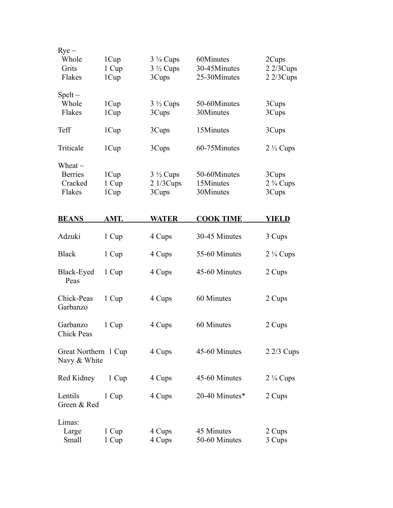| $Rye \sim$<br>Whole<br>Grits<br>Flakes              | 1Cup<br>1 Cup<br>1Cup | $3\frac{1}{4}$ Cups<br>$3\frac{1}{2}$ Cups<br>3Cups | 60Minutes<br>30-45Minutes<br>25-30Minutes | 2Cups<br>$2\frac{2}{3}Cups$<br>$2\frac{2}{3}Cups$ |
|-----------------------------------------------------|-----------------------|-----------------------------------------------------|-------------------------------------------|---------------------------------------------------|
| Spelt $\sim$<br>Whole<br>Flakes                     | 1Cup<br>1Cup          | $3\frac{1}{2}$ Cups<br>3Cups                        | 50-60Minutes<br>30Minutes                 | 3Cups<br>3Cups                                    |
| Teff                                                | 1Cup                  | 3Cups                                               | 15Minutes                                 | 3Cups                                             |
| Triticale                                           | 1Cup                  | 3Cups                                               | 60-75Minutes                              | $2\frac{1}{2}$ Cups                               |
| Wheat $\sim$<br><b>Berries</b><br>Cracked<br>Flakes | 1Cup<br>1 Cup<br>1Cup | $3\frac{1}{2}$ Cups<br>21/3Cups<br>3Cups            | 50-60Minutes<br>15Minutes<br>30Minutes    | 3Cups<br>$2\frac{3}{4}$ Cups<br>3Cups             |
| <b>BEANS</b>                                        | AMT.                  | <b>WATER</b>                                        | <b>COOK TIME</b>                          | <b>YIELD</b>                                      |
| Adzuki                                              | 1 Cup                 | 4 Cups                                              | 30-45 Minutes                             | 3 Cups                                            |
| <b>Black</b>                                        | 1 Cup                 | 4 Cups                                              | 55-60 Minutes                             | $2\frac{1}{4}$ Cups                               |
| Black-Eyed<br>Peas                                  | 1 Cup                 | 4 Cups                                              | 45-60 Minutes                             | 2 Cups                                            |
| Chick-Peas<br>Garbanzo                              | 1 Cup                 | 4 Cups                                              | 60 Minutes                                | 2 Cups                                            |
| Garbanzo<br>Chick Peas                              | 1 Cup                 | 4 Cups                                              | 60 Minutes                                | 2 Cups                                            |
| Great Northern 1 Cup<br>Navy & White                |                       | 4 Cups                                              | 45-60 Minutes                             | $2\frac{2}{3}$ Cups                               |
| Red Kidney                                          | 1 Cup                 | 4 Cups                                              | 45-60 Minutes                             | $2\frac{1}{4}$ Cups                               |
| Lentils<br>Green & Red                              | 1 Cup                 | 4 Cups                                              | 20-40 Minutes*                            | 2 Cups                                            |
| Limas:<br>Large<br>Small                            | 1 Cup<br>1 Cup        | 4 Cups<br>4 Cups                                    | 45 Minutes<br>50-60 Minutes               | 2 Cups<br>3 Cups                                  |